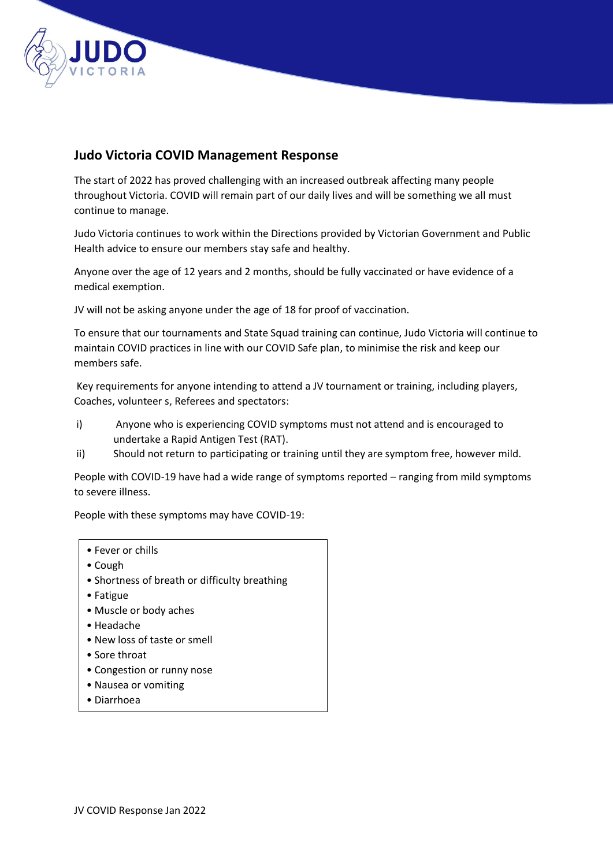

## **Judo Victoria COVID Management Response**

The start of 2022 has proved challenging with an increased outbreak affecting many people throughout Victoria. COVID will remain part of our daily lives and will be something we all must continue to manage.

Judo Victoria continues to work within the Directions provided by Victorian Government and Public Health advice to ensure our members stay safe and healthy.

Anyone over the age of 12 years and 2 months, should be fully vaccinated or have evidence of a medical exemption.

JV will not be asking anyone under the age of 18 for proof of vaccination.

To ensure that our tournaments and State Squad training can continue, Judo Victoria will continue to maintain COVID practices in line with our COVID Safe plan, to minimise the risk and keep our members safe.

Key requirements for anyone intending to attend a JV tournament or training, including players, Coaches, volunteer s, Referees and spectators:

- i) Anyone who is experiencing COVID symptoms must not attend and is encouraged to undertake a Rapid Antigen Test (RAT).
- ii) Should not return to participating or training until they are symptom free, however mild.

People with COVID-19 have had a wide range of symptoms reported – ranging from mild symptoms to severe illness.

People with these symptoms may have COVID-19:

- Fever or chills
- Cough
- Shortness of breath or difficulty breathing
- Fatigue
- Muscle or body aches
- Headache
- New loss of taste or smell
- Sore throat
- Congestion or runny nose
- Nausea or vomiting
- Diarrhoea